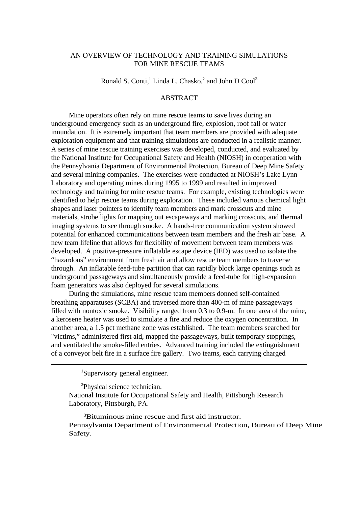# AN OVERVIEW OF TECHNOLOGY AND TRAINING SIMULATIONS FOR MINE RESCUE TEAMS

Ronald S. Conti,<sup>1</sup> Linda L. Chasko,<sup>2</sup> and John D Cool<sup>3</sup>

# **ABSTRACT**

Mine operators often rely on mine rescue teams to save lives during an underground emergency such as an underground fire, explosion, roof fall or water innundation. It is extremely important that team members are provided with adequate exploration equipment and that training simulations are conducted in a realistic manner. A series of mine rescue training exercises was developed, conducted, and evaluated by the National Institute for Occupational Safety and Health (NIOSH) in cooperation with the Pennsylvania Department of Environmental Protection, Bureau of Deep Mine Safety and several mining companies. The exercises were conducted at NIOSH's Lake Lynn Laboratory and operating mines during 1995 to 1999 and resulted in improved technology and training for mine rescue teams. For example, existing technologies were identified to help rescue teams during exploration. These included various chemical light shapes and laser pointers to identify team members and mark crosscuts and mine materials, strobe lights for mapping out escapeways and marking crosscuts, and thermal imaging systems to see through smoke. A hands-free communication system showed potential for enhanced communications between team members and the fresh air base. A new team lifeline that allows for flexibility of movement between team members was developed. A positive-pressure inflatable escape device (IED) was used to isolate the "hazardous" environment from fresh air and allow rescue team members to traverse through. An inflatable feed-tube partition that can rapidly block large openings such as underground passageways and simultaneously provide a feed-tube for high-expansion foam generators was also deployed for several simulations.

During the simulations, mine rescue team members donned self-contained breathing apparatuses (SCBA) and traversed more than 400-m of mine passageways filled with nontoxic smoke. Visibility ranged from 0.3 to 0.9-m. In one area of the mine, a kerosene heater was used to simulate a fire and reduce the oxygen concentration. In another area, a 1.5 pct methane zone was established. The team members searched for "victims," administered first aid, mapped the passageways, built temporary stoppings, and ventilated the smoke-filled entries. Advanced training included the extinguishment of a conveyor belt fire in a surface fire gallery. Two teams, each carrying charged

<sup>1</sup>Supervisory general engineer.

<sup>2</sup>Physical science technician.

National Institute for Occupational Safety and Health, Pittsburgh Research Laboratory, Pittsburgh, PA.

<sup>3</sup>Bituminous mine rescue and first aid instructor. Pennsylvania Department of Environmental Protection, Bureau of Deep Mine Safety.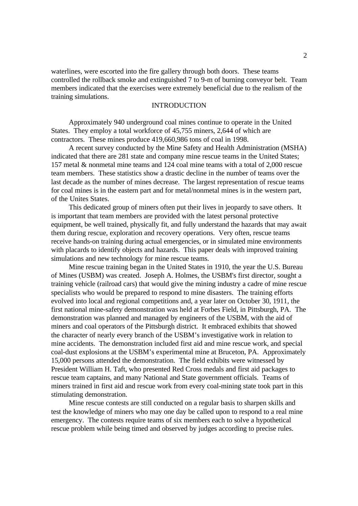waterlines, were escorted into the fire gallery through both doors. These teams controlled the rollback smoke and extinguished 7 to 9-m of burning conveyor belt. Team members indicated that the exercises were extremely beneficial due to the realism of the training simulations.

# INTRODUCTION

Approximately 940 underground coal mines continue to operate in the United States. They employ a total workforce of 45,755 miners, 2,644 of which are contractors. These mines produce 419,660,986 tons of coal in 1998.

A recent survey conducted by the Mine Safety and Health Administration (MSHA) indicated that there are 281 state and company mine rescue teams in the United States; 157 metal & nonmetal mine teams and 124 coal mine teams with a total of 2,000 rescue team members. These statistics show a drastic decline in the number of teams over the last decade as the number of mines decrease. The largest representation of rescue teams for coal mines is in the eastern part and for metal/nonmetal mines is in the western part, of the Unites States.

This dedicated group of miners often put their lives in jeopardy to save others. It is important that team members are provided with the latest personal protective equipment, be well trained, physically fit, and fully understand the hazards that may await them during rescue, exploration and recovery operations. Very often, rescue teams receive hands-on training during actual emergencies, or in simulated mine environments with placards to identify objects and hazards. This paper deals with improved training simulations and new technology for mine rescue teams.

Mine rescue training began in the United States in 1910, the year the U.S. Bureau of Mines (USBM) was created. Joseph A. Holmes, the USBM's first director, sought a training vehicle (railroad cars) that would give the mining industry a cadre of mine rescue specialists who would be prepared to respond to mine disasters. The training efforts evolved into local and regional competitions and, a year later on October 30, 1911, the first national mine-safety demonstration was held at Forbes Field, in Pittsburgh, PA. The demonstration was planned and managed by engineers of the USBM, with the aid of miners and coal operators of the Pittsburgh district. It embraced exhibits that showed the character of nearly every branch of the USBM's investigative work in relation to mine accidents. The demonstration included first aid and mine rescue work, and special coal-dust explosions at the USBM's experimental mine at Bruceton, PA. Approximately 15,000 persons attended the demonstration. The field exhibits were witnessed by President William H. Taft, who presented Red Cross medals and first aid packages to rescue team captains, and many National and State government officials. Teams of miners trained in first aid and rescue work from every coal-mining state took part in this stimulating demonstration.

Mine rescue contests are still conducted on a regular basis to sharpen skills and test the knowledge of miners who may one day be called upon to respond to a real mine emergency. The contests require teams of six members each to solve a hypothetical rescue problem while being timed and observed by judges according to precise rules.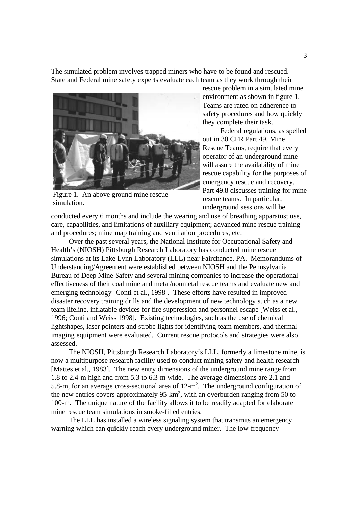The simulated problem involves trapped miners who have to be found and rescued. State and Federal mine safety experts evaluate each team as they work through their



Figure 1.–An above ground mine rescue simulation.

rescue problem in a simulated mine environment as shown in figure 1. Teams are rated on adherence to safety procedures and how quickly they complete their task.

Federal regulations, as spelled out in 30 CFR Part 49, Mine Rescue Teams, require that every operator of an underground mine will assure the availability of mine rescue capability for the purposes of emergency rescue and recovery. Part 49.8 discusses training for mine rescue teams. In particular, underground sessions will be

conducted every 6 months and include the wearing and use of breathing apparatus; use, care, capabilities, and limitations of auxiliary equipment; advanced mine rescue training and procedures; mine map training and ventilation procedures, etc.

Over the past several years, the National Institute for Occupational Safety and Health's (NIOSH) Pittsburgh Research Laboratory has conducted mine rescue simulations at its Lake Lynn Laboratory (LLL) near Fairchance, PA. Memorandums of Understanding/Agreement were established between NIOSH and the Pennsylvania Bureau of Deep Mine Safety and several mining companies to increase the operational effectiveness of their coal mine and metal/nonmetal rescue teams and evaluate new and emerging technology [Conti et al., 1998]. These efforts have resulted in improved disaster recovery training drills and the development of new technology such as a new team lifeline, inflatable devices for fire suppression and personnel escape [Weiss et al., 1996; Conti and Weiss 1998]. Existing technologies, such as the use of chemical lightshapes, laser pointers and strobe lights for identifying team members, and thermal imaging equipment were evaluated. Current rescue protocols and strategies were also assessed.

The NIOSH, Pittsburgh Research Laboratory's LLL, formerly a limestone mine, is now a multipurpose research facility used to conduct mining safety and health research [Mattes et al., 1983]. The new entry dimensions of the underground mine range from 1.8 to 2.4-m high and from 5.3 to 6.3-m wide. The average dimensions are 2.1 and 5.8-m, for an average cross-sectional area of  $12 \text{-} m^2$ . The underground configuration of the new entries covers approximately 95-km<sup>2</sup>, with an overburden ranging from 50 to 100-m. The unique nature of the facility allows it to be readily adapted for elaborate mine rescue team simulations in smoke-filled entries.

The LLL has installed a wireless signaling system that transmits an emergency warning which can quickly reach every underground miner. The low-frequency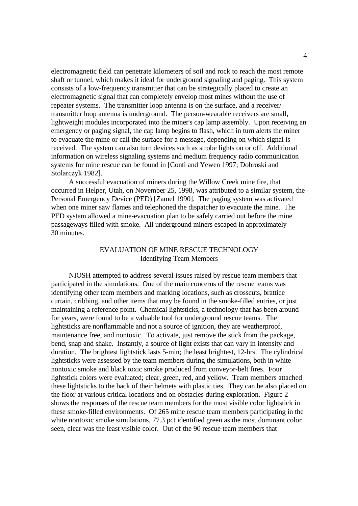electromagnetic field can penetrate kilometers of soil and rock to reach the most remote shaft or tunnel, which makes it ideal for underground signaling and paging. This system consists of a low-frequency transmitter that can be strategically placed to create an electromagnetic signal that can completely envelop most mines without the use of repeater systems. The transmitter loop antenna is on the surface, and a receiver/ transmitter loop antenna is underground. The person-wearable receivers are small, lightweight modules incorporated into the miner's cap lamp assembly. Upon receiving an emergency or paging signal, the cap lamp begins to flash, which in turn alerts the miner to evacuate the mine or call the surface for a message, depending on which signal is received. The system can also turn devices such as strobe lights on or off. Additional information on wireless signaling systems and medium frequency radio communication systems for mine rescue can be found in [Conti and Yewen 1997; Dobroski and Stolarczyk 1982].

A successful evacuation of miners during the Willow Creek mine fire, that occurred in Helper, Utah, on November 25, 1998, was attributed to a similar system, the Personal Emergency Device (PED) [Zamel 1990]. The paging system was activated when one miner saw flames and telephoned the dispatcher to evacuate the mine. The PED system allowed a mine-evacuation plan to be safely carried out before the mine passageways filled with smoke. All underground miners escaped in approximately 30 minutes.

# EVALUATION OF MINE RESCUE TECHNOLOGY Identifying Team Members

NIOSH attempted to address several issues raised by rescue team members that participated in the simulations. One of the main concerns of the rescue teams was identifying other team members and marking locations, such as crosscuts, brattice curtain, cribbing, and other items that may be found in the smoke-filled entries, or just maintaining a reference point. Chemical lightsticks, a technology that has been around for years, were found to be a valuable tool for underground rescue teams. The lightsticks are nonflammable and not a source of ignition, they are weatherproof, maintenance free, and nontoxic. To activate, just remove the stick from the package, bend, snap and shake. Instantly, a source of light exists that can vary in intensity and duration. The brightest lightstick lasts 5-min; the least brightest, 12-hrs. The cylindrical lightsticks were assessed by the team members during the simulations, both in white nontoxic smoke and black toxic smoke produced from conveyor-belt fires. Four lightstick colors were evaluated; clear, green, red, and yellow. Team members attached these lightsticks to the back of their helmets with plastic ties. They can be also placed on the floor at various critical locations and on obstacles during exploration. Figure 2 shows the responses of the rescue team members for the most visible color lightstick in these smoke-filled environments. Of 265 mine rescue team members participating in the white nontoxic smoke simulations, 77.3 pct identified green as the most dominant color seen, clear was the least visible color. Out of the 90 rescue team members that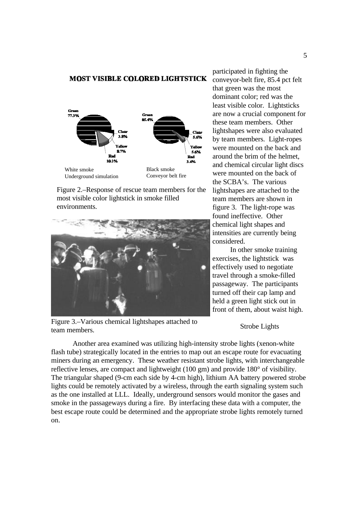#### **MOST VISIBLE COLORED LIGHTSTICK**



Figure 2.–Response of rescue team members for the most visible color lightstick in smoke filled environments.



Figure 3.–Various chemical lightshapes attached to team members.

participated in fighting the conveyor-belt fire, 85.4 pct felt that green was the most dominant color; red was the least visible color. Lightsticks are now a crucial component for these team members. Other lightshapes were also evaluated by team members. Light-ropes were mounted on the back and around the brim of the helmet, and chemical circular light discs were mounted on the back of the SCBA's. The various lightshapes are attached to the team members are shown in figure 3. The light-rope was found ineffective. Other chemical light shapes and intensities are currently being considered.

In other smoke training exercises, the lightstick was effectively used to negotiate travel through a smoke-filled passageway. The participants turned off their cap lamp and held a green light stick out in front of them, about waist high.

Strobe Lights

Another area examined was utilizing high-intensity strobe lights (xenon-white flash tube) strategically located in the entries to map out an escape route for evacuating miners during an emergency. These weather resistant strobe lights, with interchangeable reflective lenses, are compact and lightweight (100 gm) and provide 180° of visibility. The triangular shaped (9-cm each side by 4-cm high), lithium AA battery powered strobe lights could be remotely activated by a wireless, through the earth signaling system such as the one installed at LLL. Ideally, underground sensors would monitor the gases and smoke in the passageways during a fire. By interfacing these data with a computer, the best escape route could be determined and the appropriate strobe lights remotely turned on.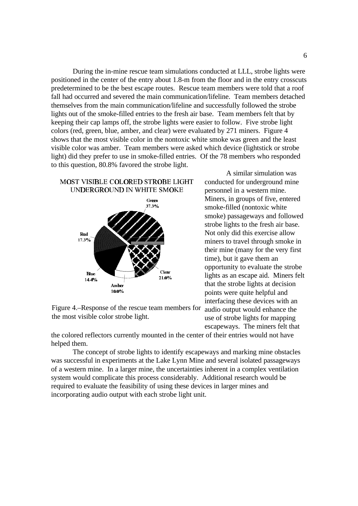During the in-mine rescue team simulations conducted at LLL, strobe lights were positioned in the center of the entry about 1.8-m from the floor and in the entry crosscuts predetermined to be the best escape routes. Rescue team members were told that a roof fall had occurred and severed the main communication/lifeline. Team members detached themselves from the main communication/lifeline and successfully followed the strobe lights out of the smoke-filled entries to the fresh air base. Team members felt that by keeping their cap lamps off, the strobe lights were easier to follow. Five strobe light colors (red, green, blue, amber, and clear) were evaluated by 271 miners. Figure 4 shows that the most visible color in the nontoxic white smoke was green and the least visible color was amber. Team members were asked which device (lightstick or strobe light) did they prefer to use in smoke-filled entries. Of the 78 members who responded to this question, 80.8% favored the strobe light.

### MOST VISIBLE COLORED STROBE LIGHT UNDERGROUND IN WHITE SMOKE



Figure 4.–Response of the rescue team members for the most visible color strobe light.

A similar simulation was conducted for underground mine personnel in a western mine. Miners, in groups of five, entered smoke-filled (nontoxic white smoke) passageways and followed strobe lights to the fresh air base. Not only did this exercise allow miners to travel through smoke in their mine (many for the very first time), but it gave them an opportunity to evaluate the strobe lights as an escape aid. Miners felt that the strobe lights at decision points were quite helpful and interfacing these devices with an audio output would enhance the use of strobe lights for mapping escapeways. The miners felt that

the colored reflectors currently mounted in the center of their entries would not have helped them.

The concept of strobe lights to identify escapeways and marking mine obstacles was successful in experiments at the Lake Lynn Mine and several isolated passageways of a western mine. In a larger mine, the uncertainties inherent in a complex ventilation system would complicate this process considerably. Additional research would be required to evaluate the feasibility of using these devices in larger mines and incorporating audio output with each strobe light unit.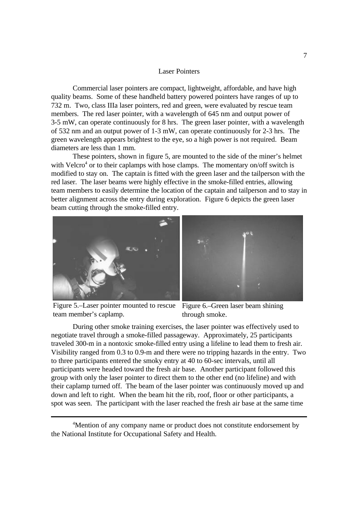#### Laser Pointers

Commercial laser pointers are compact, lightweight, affordable, and have high quality beams. Some of these handheld battery powered pointers have ranges of up to 732 m. Two, class IIIa laser pointers, red and green, were evaluated by rescue team members. The red laser pointer, with a wavelength of 645 nm and output power of 3-5 mW, can operate continuously for 8 hrs. The green laser pointer, with a wavelength of 532 nm and an output power of 1-3 mW, can operate continuously for 2-3 hrs. The green wavelength appears brightest to the eye, so a high power is not required. Beam diameters are less than 1 mm.

These pointers, shown in figure 5, are mounted to the side of the miner's helmet with Velcro<sup>4</sup> or to their caplamps with hose clamps. The momentary on/off switch is modified to stay on. The captain is fitted with the green laser and the tailperson with the red laser. The laser beams were highly effective in the smoke-filled entries, allowing team members to easily determine the location of the captain and tailperson and to stay in better alignment across the entry during exploration. Figure 6 depicts the green laser beam cutting through the smoke-filled entry.





Figure 5.–Laser pointer mounted to rescue Figure 6.–Green laser beam shining team member's caplamp.

through smoke.

During other smoke training exercises, the laser pointer was effectively used to negotiate travel through a smoke-filled passageway. Approximately, 25 participants traveled 300-m in a nontoxic smoke-filled entry using a lifeline to lead them to fresh air. Visibility ranged from 0.3 to 0.9-m and there were no tripping hazards in the entry. Two to three participants entered the smoky entry at 40 to 60-sec intervals, until all participants were headed toward the fresh air base. Another participant followed this group with only the laser pointer to direct them to the other end (no lifeline) and with their caplamp turned off. The beam of the laser pointer was continuously moved up and down and left to right. When the beam hit the rib, roof, floor or other participants, a spot was seen. The participant with the laser reached the fresh air base at the same time

<sup>4</sup>Mention of any company name or product does not constitute endorsement by the National Institute for Occupational Safety and Health.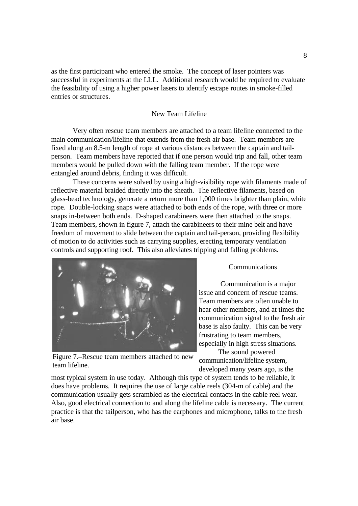as the first participant who entered the smoke. The concept of laser pointers was successful in experiments at the LLL. Additional research would be required to evaluate the feasibility of using a higher power lasers to identify escape routes in smoke-filled entries or structures.

### New Team Lifeline

Very often rescue team members are attached to a team lifeline connected to the main communication/lifeline that extends from the fresh air base. Team members are fixed along an 8.5-m length of rope at various distances between the captain and tailperson. Team members have reported that if one person would trip and fall, other team members would be pulled down with the falling team member. If the rope were entangled around debris, finding it was difficult.

These concerns were solved by using a high-visibility rope with filaments made of reflective material braided directly into the sheath. The reflective filaments, based on glass-bead technology, generate a return more than 1,000 times brighter than plain, white rope. Double-locking snaps were attached to both ends of the rope, with three or more snaps in-between both ends. D-shaped carabineers were then attached to the snaps. Team members, shown in figure 7, attach the carabineers to their mine belt and have freedom of movement to slide between the captain and tail-person, providing flexibility of motion to do activities such as carrying supplies, erecting temporary ventilation controls and supporting roof. This also alleviates tripping and falling problems.



Communications

Communication is a major issue and concern of rescue teams. Team members are often unable to hear other members, and at times the communication signal to the fresh air base is also faulty. This can be very frustrating to team members, especially in high stress situations.

Figure 7.–Rescue team members attached to new team lifeline.

The sound powered communication/lifeline system, developed many years ago, is the

most typical system in use today. Although this type of system tends to be reliable, it does have problems. It requires the use of large cable reels (304-m of cable) and the communication usually gets scrambled as the electrical contacts in the cable reel wear. Also, good electrical connection to and along the lifeline cable is necessary. The current practice is that the tailperson, who has the earphones and microphone, talks to the fresh air base.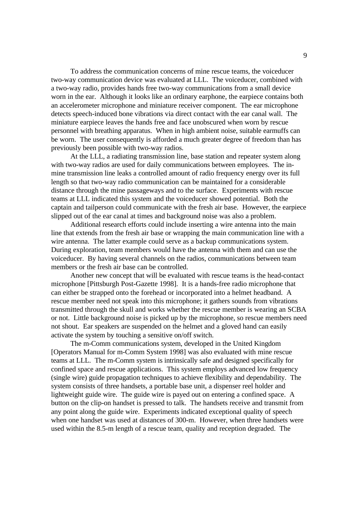To address the communication concerns of mine rescue teams, the voiceducer two-way communication device was evaluated at LLL. The voiceducer, combined with a two-way radio, provides hands free two-way communications from a small device worn in the ear. Although it looks like an ordinary earphone, the earpiece contains both an accelerometer microphone and miniature receiver component. The ear microphone detects speech-induced bone vibrations via direct contact with the ear canal wall. The miniature earpiece leaves the hands free and face unobscured when worn by rescue personnel with breathing apparatus. When in high ambient noise, suitable earmuffs can be worn. The user consequently is afforded a much greater degree of freedom than has previously been possible with two-way radios.

At the LLL, a radiating transmission line, base station and repeater system along with two-way radios are used for daily communications between employees. The inmine transmission line leaks a controlled amount of radio frequency energy over its full length so that two-way radio communication can be maintained for a considerable distance through the mine passageways and to the surface. Experiments with rescue teams at LLL indicated this system and the voiceducer showed potential. Both the captain and tailperson could communicate with the fresh air base. However, the earpiece slipped out of the ear canal at times and background noise was also a problem.

Additional research efforts could include inserting a wire antenna into the main line that extends from the fresh air base or wrapping the main communication line with a wire antenna. The latter example could serve as a backup communications system. During exploration, team members would have the antenna with them and can use the voiceducer. By having several channels on the radios, communications between team members or the fresh air base can be controlled.

Another new concept that will be evaluated with rescue teams is the head-contact microphone [Pittsburgh Post-Gazette 1998]. It is a hands-free radio microphone that can either be strapped onto the forehead or incorporated into a helmet headband. A rescue member need not speak into this microphone; it gathers sounds from vibrations transmitted through the skull and works whether the rescue member is wearing an SCBA or not. Little background noise is picked up by the microphone, so rescue members need not shout. Ear speakers are suspended on the helmet and a gloved hand can easily activate the system by touching a sensitive on/off switch.

The m-Comm communications system, developed in the United Kingdom [Operators Manual for m-Comm System 1998] was also evaluated with mine rescue teams at LLL. The m-Comm system is intrinsically safe and designed specifically for confined space and rescue applications. This system employs advanced low frequency (single wire) guide propagation techniques to achieve flexibility and dependability. The system consists of three handsets, a portable base unit, a dispenser reel holder and lightweight guide wire. The guide wire is payed out on entering a confined space. A button on the clip-on handset is pressed to talk. The handsets receive and transmit from any point along the guide wire. Experiments indicated exceptional quality of speech when one handset was used at distances of 300-m. However, when three handsets were used within the 8.5-m length of a rescue team, quality and reception degraded. The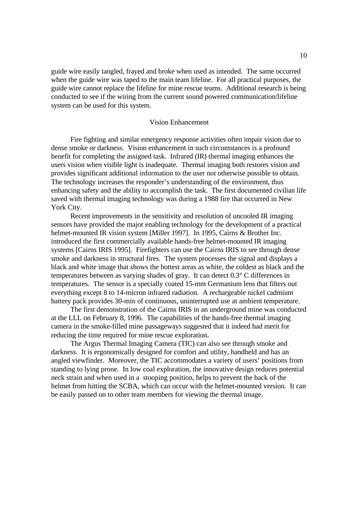guide wire easily tangled, frayed and broke when used as intended. The same occurred when the guide wire was taped to the main team lifeline. For all practical purposes, the guide wire cannot replace the lifeline for mine rescue teams. Additional research is being conducted to see if the wiring from the current sound powered communication/lifeline system can be used for this system.

#### Vision Enhancement

Fire fighting and similar emergency response activities often impair vision due to dense smoke or darkness. Vision enhancement in such circumstances is a profound benefit for completing the assigned task. Infrared (IR) thermal imaging enhances the users vision when visible light is inadequate. Thermal imaging both restores vision and provides significant additional information to the user not otherwise possible to obtain. The technology increases the responder's understanding of the environment, thus enhancing safety and the ability to accomplish the task. The first documented civilian life saved with thermal imaging technology was during a 1988 fire that occurred in New York City.

Recent improvements in the sensitivity and resolution of uncooled IR imaging sensors have provided the major enabling technology for the development of a practical helmet-mounted IR vision system [Miller 1997]. In 1995, Cairns & Brother Inc. introduced the first commercially available hands-free helmet-mounted IR imaging systems [Cairns IRIS 1995]. Firefighters can use the Cairns IRIS to see through dense smoke and darkness in structural fires. The system processes the signal and displays a black and white image that shows the hottest areas as white, the coldest as black and the temperatures between as varying shades of gray. It can detect 0.3° C differences in temperatures. The sensor is a specially coated 15-mm Germanium lens that filters out everything except 8 to 14-micron infrared radiation. A rechargeable nickel cadmium battery pack provides 30-min of continuous, uninterrupted use at ambient temperature.

The first demonstration of the Cairns IRIS in an underground mine was conducted at the LLL on February 8, 1996. The capabilities of the hands-free thermal imaging camera in the smoke-filled mine passageways suggested that it indeed had merit for reducing the time required for mine rescue exploration.

The Argus Thermal Imaging Camera (TIC) can also see through smoke and darkness. It is ergonomically designed for comfort and utility, handheld and has an angled viewfinder. Moreover, the TIC accommodates a variety of users' positions from standing to lying prone. In low coal exploration, the innovative design reduces potential neck strain and when used in a stooping position, helps to prevent the back of the helmet from hitting the SCBA, which can occur with the helmet-mounted version. It can be easily passed on to other team members for viewing the thermal image.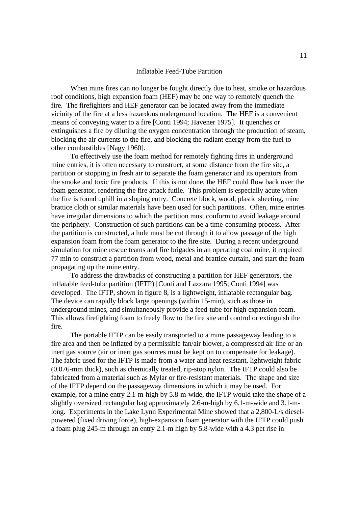#### Inflatable Feed-Tube Partition

When mine fires can no longer be fought directly due to heat, smoke or hazardous roof conditions, high expansion foam (HEF) may be one way to remotely quench the fire. The firefighters and HEF generator can be located away from the immediate vicinity of the fire at a less hazardous underground location. The HEF is a convenient means of conveying water to a fire [Conti 1994; Havener 1975]. It quenches or extinguishes a fire by diluting the oxygen concentration through the production of steam, blocking the air currents to the fire, and blocking the radiant energy from the fuel to other combustibles [Nagy 1960].

To effectively use the foam method for remotely fighting fires in underground mine entries, it is often necessary to construct, at some distance from the fire site, a partition or stopping in fresh air to separate the foam generator and its operators from the smoke and toxic fire products. If this is not done, the HEF could flow back over the foam generator, rendering the fire attack futile. This problem is especially acute when the fire is found uphill in a sloping entry. Concrete block, wood, plastic sheeting, mine brattice cloth or similar materials have been used for such partitions. Often, mine entries have irregular dimensions to which the partition must conform to avoid leakage around the periphery. Construction of such partitions can be a time-consuming process. After the partition is constructed, a hole must be cut through it to allow passage of the high expansion foam from the foam generator to the fire site. During a recent underground simulation for mine rescue teams and fire brigades in an operating coal mine, it required 77 min to construct a partition from wood, metal and brattice curtain, and start the foam propagating up the mine entry.

To address the drawbacks of constructing a partition for HEF generators, the inflatable feed-tube partition (IFTP) [Conti and Lazzara 1995; Conti 1994] was developed. The IFTP, shown in figure 8, is a lightweight, inflatable rectangular bag. The device can rapidly block large openings (within 15-min), such as those in underground mines, and simultaneously provide a feed-tube for high expansion foam. This allows firefighting foam to freely flow to the fire site and control or extinguish the fire.

The portable IFTP can be easily transported to a mine passageway leading to a fire area and then be inflated by a permissible fan/air blower, a compressed air line or an inert gas source (air or inert gas sources must be kept on to compensate for leakage). The fabric used for the IFTP is made from a water and heat resistant, lightweight fabric (0.076-mm thick), such as chemically treated, rip-stop nylon. The IFTP could also be fabricated from a material such as Mylar or fire-resistant materials. The shape and size of the IFTP depend on the passageway dimensions in which it may be used. For example, for a mine entry 2.1-m-high by 5.8-m-wide, the IFTP would take the shape of a slightly oversized rectangular bag approximately 2.6-m-high by 6.1-m-wide and 3.1-mlong. Experiments in the Lake Lynn Experimental Mine showed that a 2,800-L/s dieselpowered (fixed driving force), high-expansion foam generator with the IFTP could push a foam plug 245-m through an entry 2.1-m high by 5.8-wide with a 4.3 pct rise in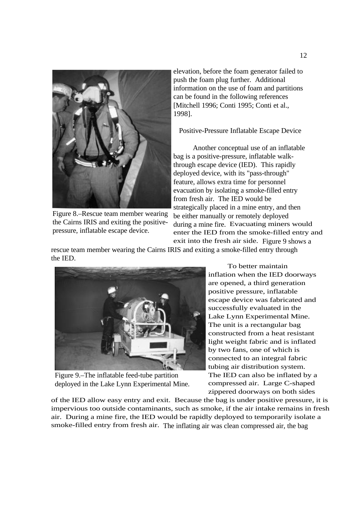

Figure 8.–Rescue team member wearing the Cairns IRIS and exiting the positivepressure, inflatable escape device.

elevation, before the foam generator failed to push the foam plug further. Additional information on the use of foam and partitions can be found in the following references [Mitchell 1996; Conti 1995; Conti et al., 1998].

Positive-Pressure Inflatable Escape Device

Another conceptual use of an inflatable bag is a positive-pressure, inflatable walkthrough escape device (IED). This rapidly deployed device, with its "pass-through" feature, allows extra time for personnel evacuation by isolating a smoke-filled entry from fresh air. The IED would be strategically placed in a mine entry, and then be either manually or remotely deployed during a mine fire. Evacuating miners would enter the IED from the smoke-filled entry and exit into the fresh air side. Figure 9 shows a

rescue team member wearing the Cairns IRIS and exiting a smoke-filled entry through the IED.



Figure 9.–The inflatable feed-tube partition deployed in the Lake Lynn Experimental Mine.

To better maintain inflation when the IED doorways are opened, a third generation positive pressure, inflatable escape device was fabricated and successfully evaluated in the Lake Lynn Experimental Mine. The unit is a rectangular bag constructed from a heat resistant light weight fabric and is inflated by two fans, one of which is connected to an integral fabric tubing air distribution system. The IED can also be inflated by a compressed air. Large C-shaped zippered doorways on both sides

of the IED allow easy entry and exit. Because the bag is under positive pressure, it is impervious too outside contaminants, such as smoke, if the air intake remains in fresh air. During a mine fire, the IED would be rapidly deployed to temporarily isolate a smoke-filled entry from fresh air. The inflating air was clean compressed air, the bag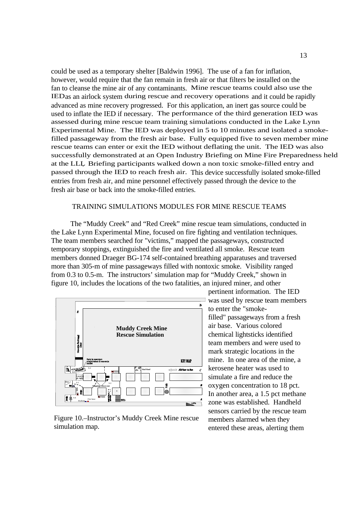could be used as a temporary shelter [Baldwin 1996]. The use of a fan for inflation, however, would require that the fan remain in fresh air or that filters be installed on the fan to cleanse the mine air of any contaminants. Mine rescue teams could also use the IED as an airlock system during rescue and recovery operations and it could be rapidly advanced as mine recovery progressed. For this application, an inert gas source could be used to inflate the IED if necessary. The performance of the third generation IED was assessed during mine rescue team training simulations conducted in the Lake Lynn Experimental Mine. The IED was deployed in 5 to 10 minutes and isolated a smokefilled passageway from the fresh air base. Fully equipped five to seven member mine rescue teams can enter or exit the IED without deflating the unit. The IED was also successfully demonstrated at an Open Industry Briefing on Mine Fire Preparedness held at the LLL. Briefing participants walked down a non toxic smoke-filled entry and passed through the IED to reach fresh air. This device successfully isolated smoke-filled entries from fresh air, and mine personnel effectively passed through the device to the fresh air base or back into the smoke-filled entries.

# TRAINING SIMULATIONS MODULES FOR MINE RESCUE TEAMS

The "Muddy Creek" and "Red Creek" mine rescue team simulations, conducted in the Lake Lynn Experimental Mine, focused on fire fighting and ventilation techniques. The team members searched for "victims," mapped the passageways, constructed temporary stoppings, extinguished the fire and ventilated all smoke. Rescue team members donned Draeger BG-174 self-contained breathing apparatuses and traversed more than 305-m of mine passageways filled with nontoxic smoke. Visibility ranged from 0.3 to 0.5-m. The instructors' simulation map for "Muddy Creek," shown in figure 10, includes the locations of the two fatalities, an injured miner, and other



Figure 10.–Instructor's Muddy Creek Mine rescue simulation map.

pertinent information. The IED  $\exists$  was used by rescue team members to enter the "smokefilled" passageways from a fresh air base. Various colored chemical lightsticks identified team members and were used to mark strategic locations in the mine. In one area of the mine, a kerosene heater was used to simulate a fire and reduce the oxygen concentration to 18 pct. In another area, a 1.5 pct methane zone was established. Handheld sensors carried by the rescue team members alarmed when they entered these areas, alerting them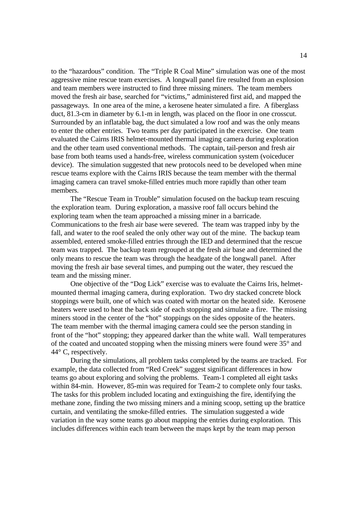to the "hazardous" condition. The "Triple R Coal Mine" simulation was one of the most aggressive mine rescue team exercises. A longwall panel fire resulted from an explosion and team members were instructed to find three missing miners. The team members moved the fresh air base, searched for "victims," administered first aid, and mapped the passageways. In one area of the mine, a kerosene heater simulated a fire. A fiberglass duct, 81.3-cm in diameter by 6.1-m in length, was placed on the floor in one crosscut. Surrounded by an inflatable bag, the duct simulated a low roof and was the only means to enter the other entries. Two teams per day participated in the exercise. One team evaluated the Cairns IRIS helmet-mounted thermal imaging camera during exploration and the other team used conventional methods. The captain, tail-person and fresh air base from both teams used a hands-free, wireless communication system (voiceducer device). The simulation suggested that new protocols need to be developed when mine rescue teams explore with the Cairns IRIS because the team member with the thermal imaging camera can travel smoke-filled entries much more rapidly than other team members.

The "Rescue Team in Trouble" simulation focused on the backup team rescuing the exploration team. During exploration, a massive roof fall occurs behind the exploring team when the team approached a missing miner in a barricade. Communications to the fresh air base were severed. The team was trapped inby by the fall, and water to the roof sealed the only other way out of the mine. The backup team assembled, entered smoke-filled entries through the IED and determined that the rescue team was trapped. The backup team regrouped at the fresh air base and determined the only means to rescue the team was through the headgate of the longwall panel. After moving the fresh air base several times, and pumping out the water, they rescued the team and the missing miner.

One objective of the "Dog Lick" exercise was to evaluate the Cairns Iris, helmetmounted thermal imaging camera, during exploration. Two dry stacked concrete block stoppings were built, one of which was coated with mortar on the heated side. Kerosene heaters were used to heat the back side of each stopping and simulate a fire. The missing miners stood in the center of the "hot" stoppings on the sides opposite of the heaters. The team member with the thermal imaging camera could see the person standing in front of the "hot" stopping; they appeared darker than the white wall. Wall temperatures of the coated and uncoated stopping when the missing miners were found were 35° and 44° C, respectively.

During the simulations, all problem tasks completed by the teams are tracked. For example, the data collected from "Red Creek" suggest significant differences in how teams go about exploring and solving the problems. Team-1 completed all eight tasks within 84-min. However, 85-min was required for Team-2 to complete only four tasks. The tasks for this problem included locating and extinguishing the fire, identifying the methane zone, finding the two missing miners and a mining scoop, setting up the brattice curtain, and ventilating the smoke-filled entries. The simulation suggested a wide variation in the way some teams go about mapping the entries during exploration. This includes differences within each team between the maps kept by the team map person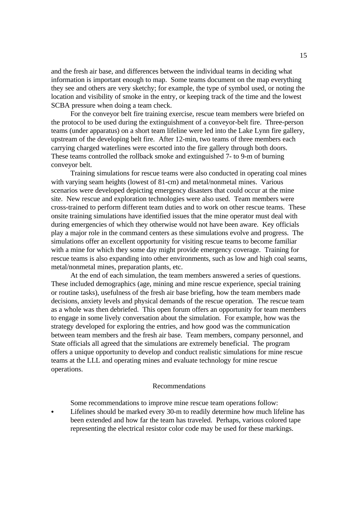and the fresh air base, and differences between the individual teams in deciding what information is important enough to map. Some teams document on the map everything they see and others are very sketchy; for example, the type of symbol used, or noting the location and visibility of smoke in the entry, or keeping track of the time and the lowest SCBA pressure when doing a team check.

For the conveyor belt fire training exercise, rescue team members were briefed on the protocol to be used during the extinguishment of a conveyor-belt fire. Three-person teams (under apparatus) on a short team lifeline were led into the Lake Lynn fire gallery, upstream of the developing belt fire. After 12-min, two teams of three members each carrying charged waterlines were escorted into the fire gallery through both doors. These teams controlled the rollback smoke and extinguished 7- to 9-m of burning conveyor belt.

Training simulations for rescue teams were also conducted in operating coal mines with varying seam heights (lowest of 81-cm) and metal/nonmetal mines. Various scenarios were developed depicting emergency disasters that could occur at the mine site. New rescue and exploration technologies were also used. Team members were cross-trained to perform different team duties and to work on other rescue teams. These onsite training simulations have identified issues that the mine operator must deal with during emergencies of which they otherwise would not have been aware. Key officials play a major role in the command centers as these simulations evolve and progress. The simulations offer an excellent opportunity for visiting rescue teams to become familiar with a mine for which they some day might provide emergency coverage. Training for rescue teams is also expanding into other environments, such as low and high coal seams, metal/nonmetal mines, preparation plants, etc.

At the end of each simulation, the team members answered a series of questions. These included demographics (age, mining and mine rescue experience, special training or routine tasks), usefulness of the fresh air base briefing, how the team members made decisions, anxiety levels and physical demands of the rescue operation. The rescue team as a whole was then debriefed. This open forum offers an opportunity for team members to engage in some lively conversation about the simulation. For example, how was the strategy developed for exploring the entries, and how good was the communication between team members and the fresh air base. Team members, company personnel, and State officials all agreed that the simulations are extremely beneficial. The program offers a unique opportunity to develop and conduct realistic simulations for mine rescue teams at the LLL and operating mines and evaluate technology for mine rescue operations.

#### Recommendations

Some recommendations to improve mine rescue team operations follow:

• Lifelines should be marked every 30-m to readily determine how much lifeline has been extended and how far the team has traveled. Perhaps, various colored tape representing the electrical resistor color code may be used for these markings.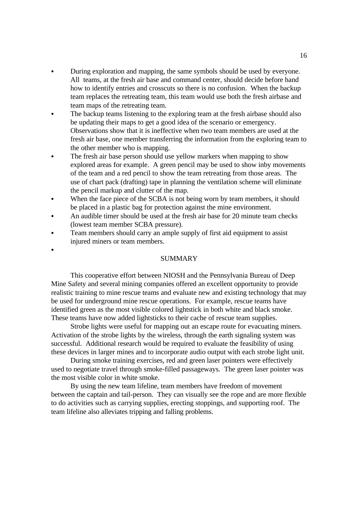- During exploration and mapping, the same symbols should be used by everyone. All teams, at the fresh air base and command center, should decide before hand how to identify entries and crosscuts so there is no confusion. When the backup team replaces the retreating team, this team would use both the fresh airbase and team maps of the retreating team.
- The backup teams listening to the exploring team at the fresh airbase should also be updating their maps to get a good idea of the scenario or emergency. Observations show that it is ineffective when two team members are used at the fresh air base, one member transferring the information from the exploring team to the other member who is mapping.
- The fresh air base person should use yellow markers when mapping to show explored areas for example. A green pencil may be used to show inby movements of the team and a red pencil to show the team retreating from those areas. The use of chart pack (drafting) tape in planning the ventilation scheme will eliminate the pencil markup and clutter of the map.
- When the face piece of the SCBA is not being worn by team members, it should be placed in a plastic bag for protection against the mine environment.
- An audible timer should be used at the fresh air base for 20 minute team checks (lowest team member SCBA pressure).
- Team members should carry an ample supply of first aid equipment to assist injured miners or team members.

 $\bullet$ 

## SUMMARY

This cooperative effort between NIOSH and the Pennsylvania Bureau of Deep Mine Safety and several mining companies offered an excellent opportunity to provide realistic training to mine rescue teams and evaluate new and existing technology that may be used for underground mine rescue operations. For example, rescue teams have identified green as the most visible colored lightstick in both white and black smoke. These teams have now added lightsticks to their cache of rescue team supplies.

Strobe lights were useful for mapping out an escape route for evacuating miners. Activation of the strobe lights by the wireless, through the earth signaling system was successful. Additional research would be required to evaluate the feasibility of using these devices in larger mines and to incorporate audio output with each strobe light unit.

During smoke training exercises, red and green laser pointers were effectively used to negotiate travel through smoke-filled passageways. The green laser pointer was the most visible color in white smoke.

By using the new team lifeline, team members have freedom of movement between the captain and tail-person. They can visually see the rope and are more flexible to do activities such as carrying supplies, erecting stoppings, and supporting roof. The team lifeline also alleviates tripping and falling problems.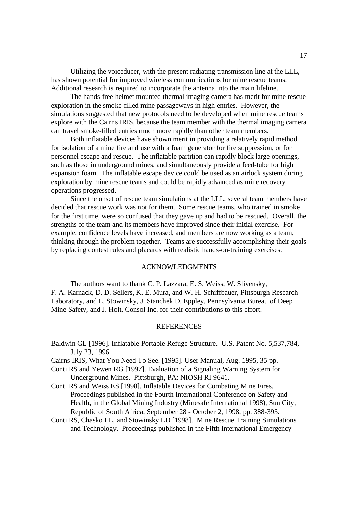Utilizing the voiceducer, with the present radiating transmission line at the LLL, has shown potential for improved wireless communications for mine rescue teams. Additional research is required to incorporate the antenna into the main lifeline.

The hands-free helmet mounted thermal imaging camera has merit for mine rescue exploration in the smoke-filled mine passageways in high entries. However, the simulations suggested that new protocols need to be developed when mine rescue teams explore with the Cairns IRIS, because the team member with the thermal imaging camera can travel smoke-filled entries much more rapidly than other team members.

Both inflatable devices have shown merit in providing a relatively rapid method for isolation of a mine fire and use with a foam generator for fire suppression, or for personnel escape and rescue. The inflatable partition can rapidly block large openings, such as those in underground mines, and simultaneously provide a feed-tube for high expansion foam. The inflatable escape device could be used as an airlock system during exploration by mine rescue teams and could be rapidly advanced as mine recovery operations progressed.

Since the onset of rescue team simulations at the LLL, several team members have decided that rescue work was not for them. Some rescue teams, who trained in smoke for the first time, were so confused that they gave up and had to be rescued. Overall, the strengths of the team and its members have improved since their initial exercise. For example, confidence levels have increased, and members are now working as a team, thinking through the problem together. Teams are successfully accomplishing their goals by replacing contest rules and placards with realistic hands-on-training exercises.

# ACKNOWLEDGMENTS

The authors want to thank C. P. Lazzara, E. S. Weiss, W. Slivensky, F. A. Karnack, D. D. Sellers, K. E. Mura, and W. H. Schiffbauer, Pittsburgh Research Laboratory, and L. Stowinsky, J. Stanchek D. Eppley, Pennsylvania Bureau of Deep Mine Safety, and J. Holt, Consol Inc. for their contributions to this effort.

### **REFERENCES**

- Baldwin GL [1996]. Inflatable Portable Refuge Structure. U.S. Patent No. 5,537,784, July 23, 1996.
- Cairns IRIS, What You Need To See. [1995]. User Manual, Aug. 1995, 35 pp.
- Conti RS and Yewen RG [1997]. Evaluation of a Signaling Warning System for Underground Mines. Pittsburgh, PA: NIOSH RI 9641.
- Conti RS and Weiss ES [1998]. Inflatable Devices for Combating Mine Fires. Proceedings published in the Fourth International Conference on Safety and Health, in the Global Mining Industry (Minesafe International 1998), Sun City, Republic of South Africa, September 28 - October 2, 1998, pp. 388-393.
- Conti RS, Chasko LL, and Stowinsky LD [1998]. Mine Rescue Training Simulations and Technology. Proceedings published in the Fifth International Emergency